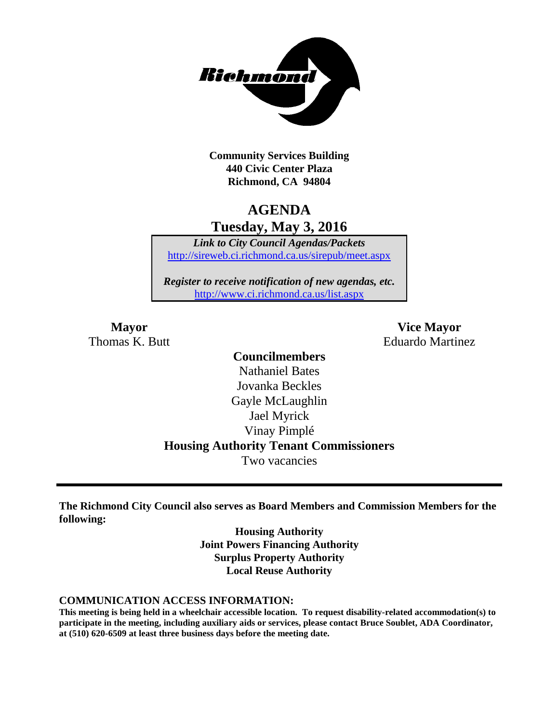

**Community Services Building 440 Civic Center Plaza Richmond, CA 94804**

### **AGENDA Tuesday, May 3, 2016**

*Link to City Council Agendas/Packets* <http://sireweb.ci.richmond.ca.us/sirepub/meet.aspx>

*Register to receive notification of new agendas, etc.* <http://www.ci.richmond.ca.us/list.aspx>

**Mayor Vice Mayor** Thomas K. Butt **Eduardo Martinez** 

### **Councilmembers** Nathaniel Bates Jovanka Beckles Gayle McLaughlin Jael Myrick Vinay Pimplé **Housing Authority Tenant Commissioners** Two vacancies

**The Richmond City Council also serves as Board Members and Commission Members for the following:**

> **Housing Authority Joint Powers Financing Authority Surplus Property Authority Local Reuse Authority**

#### **COMMUNICATION ACCESS INFORMATION:**

**This meeting is being held in a wheelchair accessible location. To request disability-related accommodation(s) to participate in the meeting, including auxiliary aids or services, please contact Bruce Soublet, ADA Coordinator, at (510) 620-6509 at least three business days before the meeting date.**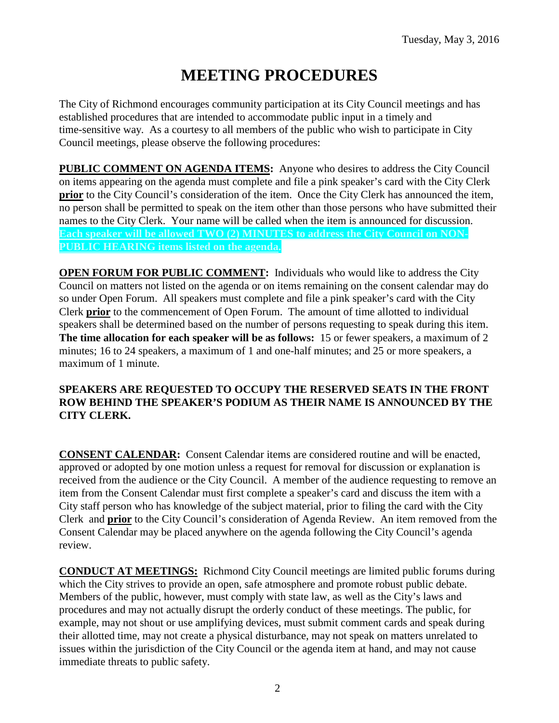# **MEETING PROCEDURES**

The City of Richmond encourages community participation at its City Council meetings and has established procedures that are intended to accommodate public input in a timely and time-sensitive way. As a courtesy to all members of the public who wish to participate in City Council meetings, please observe the following procedures:

**PUBLIC COMMENT ON AGENDA ITEMS:** Anyone who desires to address the City Council on items appearing on the agenda must complete and file a pink speaker's card with the City Clerk **prior** to the City Council's consideration of the item. Once the City Clerk has announced the item, no person shall be permitted to speak on the item other than those persons who have submitted their names to the City Clerk. Your name will be called when the item is announced for discussion. **Each speaker will be allowed TWO (2) MINUTES to address the City Council on NON-PUBLIC HEARING items listed on the agenda.**

**OPEN FORUM FOR PUBLIC COMMENT:** Individuals who would like to address the City Council on matters not listed on the agenda or on items remaining on the consent calendar may do so under Open Forum. All speakers must complete and file a pink speaker's card with the City Clerk **prior** to the commencement of Open Forum. The amount of time allotted to individual speakers shall be determined based on the number of persons requesting to speak during this item. **The time allocation for each speaker will be as follows:** 15 or fewer speakers, a maximum of 2 minutes; 16 to 24 speakers, a maximum of 1 and one-half minutes; and 25 or more speakers, a maximum of 1 minute.

#### **SPEAKERS ARE REQUESTED TO OCCUPY THE RESERVED SEATS IN THE FRONT ROW BEHIND THE SPEAKER'S PODIUM AS THEIR NAME IS ANNOUNCED BY THE CITY CLERK.**

**CONSENT CALENDAR:** Consent Calendar items are considered routine and will be enacted, approved or adopted by one motion unless a request for removal for discussion or explanation is received from the audience or the City Council. A member of the audience requesting to remove an item from the Consent Calendar must first complete a speaker's card and discuss the item with a City staff person who has knowledge of the subject material, prior to filing the card with the City Clerk and **prior** to the City Council's consideration of Agenda Review. An item removed from the Consent Calendar may be placed anywhere on the agenda following the City Council's agenda review.

**CONDUCT AT MEETINGS:** Richmond City Council meetings are limited public forums during which the City strives to provide an open, safe atmosphere and promote robust public debate. Members of the public, however, must comply with state law, as well as the City's laws and procedures and may not actually disrupt the orderly conduct of these meetings. The public, for example, may not shout or use amplifying devices, must submit comment cards and speak during their allotted time, may not create a physical disturbance, may not speak on matters unrelated to issues within the jurisdiction of the City Council or the agenda item at hand, and may not cause immediate threats to public safety.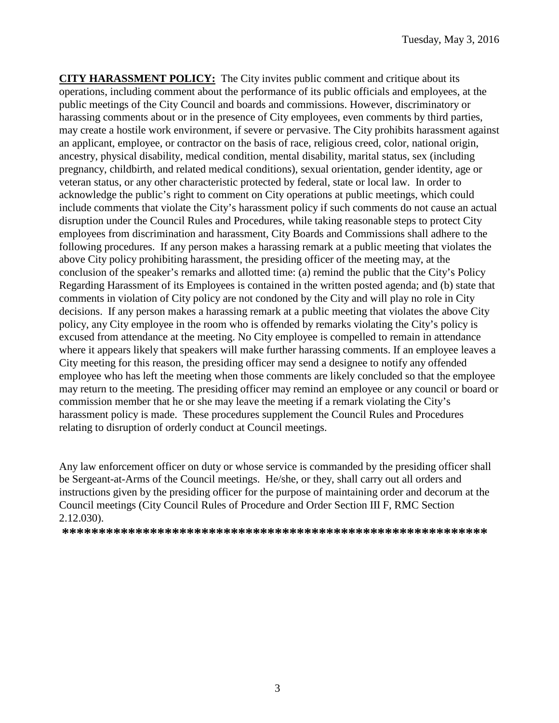**CITY HARASSMENT POLICY:** The City invites public comment and critique about its operations, including comment about the performance of its public officials and employees, at the public meetings of the City Council and boards and commissions. However, discriminatory or harassing comments about or in the presence of City employees, even comments by third parties, may create a hostile work environment, if severe or pervasive. The City prohibits harassment against an applicant, employee, or contractor on the basis of race, religious creed, color, national origin, ancestry, physical disability, medical condition, mental disability, marital status, sex (including pregnancy, childbirth, and related medical conditions), sexual orientation, gender identity, age or veteran status, or any other characteristic protected by federal, state or local law. In order to acknowledge the public's right to comment on City operations at public meetings, which could include comments that violate the City's harassment policy if such comments do not cause an actual disruption under the Council Rules and Procedures, while taking reasonable steps to protect City employees from discrimination and harassment, City Boards and Commissions shall adhere to the following procedures. If any person makes a harassing remark at a public meeting that violates the above City policy prohibiting harassment, the presiding officer of the meeting may, at the conclusion of the speaker's remarks and allotted time: (a) remind the public that the City's Policy Regarding Harassment of its Employees is contained in the written posted agenda; and (b) state that comments in violation of City policy are not condoned by the City and will play no role in City decisions. If any person makes a harassing remark at a public meeting that violates the above City policy, any City employee in the room who is offended by remarks violating the City's policy is excused from attendance at the meeting. No City employee is compelled to remain in attendance where it appears likely that speakers will make further harassing comments. If an employee leaves a City meeting for this reason, the presiding officer may send a designee to notify any offended employee who has left the meeting when those comments are likely concluded so that the employee may return to the meeting. The presiding officer may remind an employee or any council or board or commission member that he or she may leave the meeting if a remark violating the City's harassment policy is made. These procedures supplement the Council Rules and Procedures relating to disruption of orderly conduct at Council meetings.

Any law enforcement officer on duty or whose service is commanded by the presiding officer shall be Sergeant-at-Arms of the Council meetings. He/she, or they, shall carry out all orders and instructions given by the presiding officer for the purpose of maintaining order and decorum at the Council meetings (City Council Rules of Procedure and Order Section III F, RMC Section 2.12.030).

**\*\*\*\*\*\*\*\*\*\*\*\*\*\*\*\*\*\*\*\*\*\*\*\*\*\*\*\*\*\*\*\*\*\*\*\*\*\*\*\*\*\*\*\*\*\*\*\*\*\*\*\*\*\*\*\*\*\***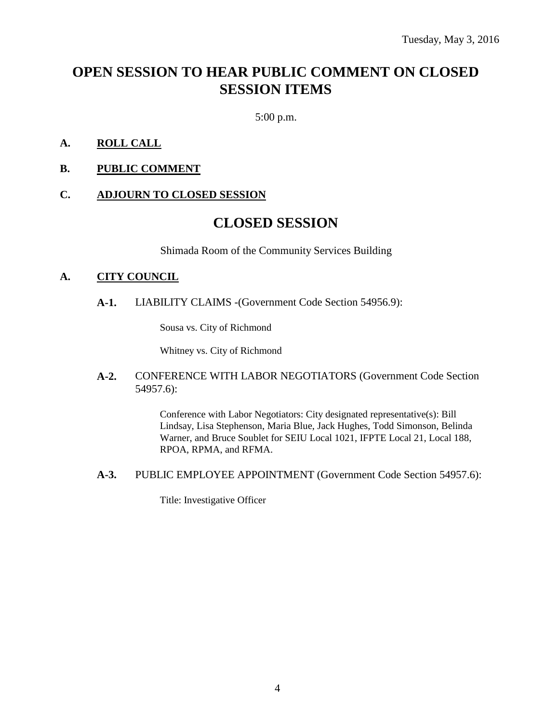# **OPEN SESSION TO HEAR PUBLIC COMMENT ON CLOSED SESSION ITEMS**

5:00 p.m.

#### **A. ROLL CALL**

**B. PUBLIC COMMENT**

#### **C. ADJOURN TO CLOSED SESSION**

### **CLOSED SESSION**

Shimada Room of the Community Services Building

#### **A. CITY COUNCIL**

**A-1.** LIABILITY CLAIMS -(Government Code Section 54956.9):

Sousa vs. City of Richmond

Whitney vs. City of Richmond

#### **A-2.** CONFERENCE WITH LABOR NEGOTIATORS (Government Code Section 54957.6):

Conference with Labor Negotiators: City designated representative(s): Bill Lindsay, Lisa Stephenson, Maria Blue, Jack Hughes, Todd Simonson, Belinda Warner, and Bruce Soublet for SEIU Local 1021, IFPTE Local 21, Local 188, RPOA, RPMA, and RFMA.

**A-3.** PUBLIC EMPLOYEE APPOINTMENT (Government Code Section 54957.6):

Title: Investigative Officer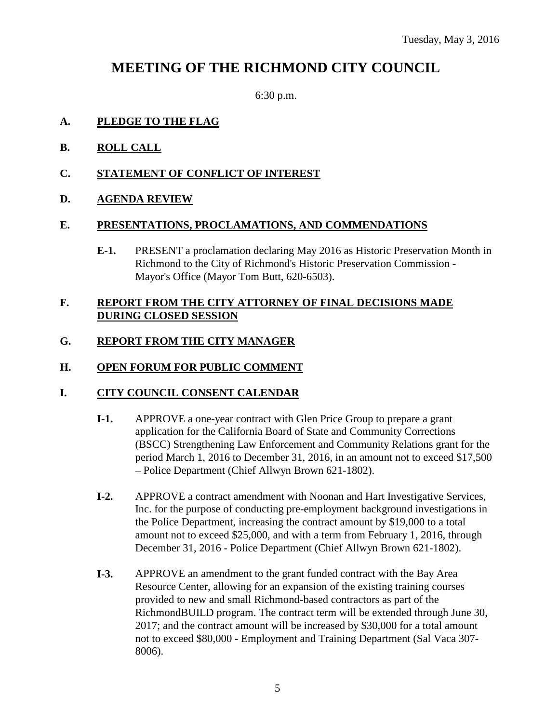## **MEETING OF THE RICHMOND CITY COUNCIL**

6:30 p.m.

#### **A. PLEDGE TO THE FLAG**

- **B. ROLL CALL**
- **C. STATEMENT OF CONFLICT OF INTEREST**
- **D. AGENDA REVIEW**

#### **E. PRESENTATIONS, PROCLAMATIONS, AND COMMENDATIONS**

**E-1.** PRESENT a proclamation declaring May 2016 as Historic Preservation Month in Richmond to the City of Richmond's Historic Preservation Commission - Mayor's Office (Mayor Tom Butt, 620-6503).

#### **F. REPORT FROM THE CITY ATTORNEY OF FINAL DECISIONS MADE DURING CLOSED SESSION**

#### **G. REPORT FROM THE CITY MANAGER**

#### **H. OPEN FORUM FOR PUBLIC COMMENT**

#### **I. CITY COUNCIL CONSENT CALENDAR**

- **I-1.** APPROVE a one-year contract with Glen Price Group to prepare a grant application for the California Board of State and Community Corrections (BSCC) Strengthening Law Enforcement and Community Relations grant for the period March 1, 2016 to December 31, 2016, in an amount not to exceed \$17,500 – Police Department (Chief Allwyn Brown 621-1802).
- **I-2.** APPROVE a contract amendment with Noonan and Hart Investigative Services, Inc. for the purpose of conducting pre-employment background investigations in the Police Department, increasing the contract amount by \$19,000 to a total amount not to exceed \$25,000, and with a term from February 1, 2016, through December 31, 2016 - Police Department (Chief Allwyn Brown 621-1802).
- **I-3.** APPROVE an amendment to the grant funded contract with the Bay Area Resource Center, allowing for an expansion of the existing training courses provided to new and small Richmond-based contractors as part of the RichmondBUILD program. The contract term will be extended through June 30, 2017; and the contract amount will be increased by \$30,000 for a total amount not to exceed \$80,000 - Employment and Training Department (Sal Vaca 307- 8006).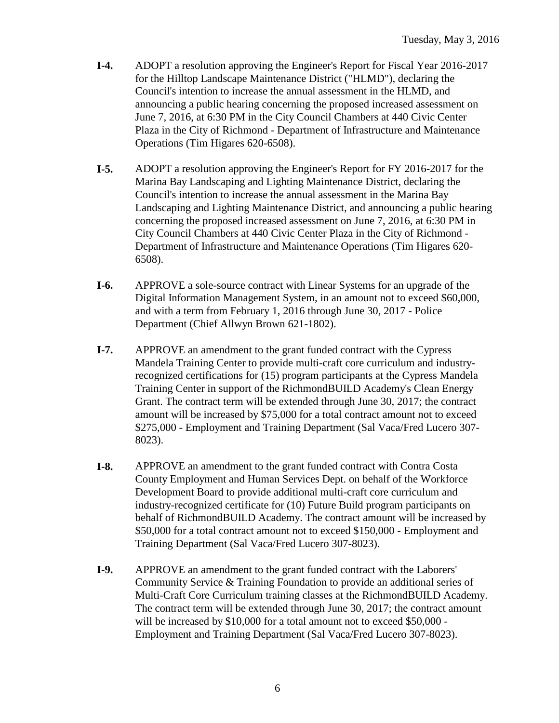- **I-4.** ADOPT a resolution approving the Engineer's Report for Fiscal Year 2016-2017 for the Hilltop Landscape Maintenance District ("HLMD"), declaring the Council's intention to increase the annual assessment in the HLMD, and announcing a public hearing concerning the proposed increased assessment on June 7, 2016, at 6:30 PM in the City Council Chambers at 440 Civic Center Plaza in the City of Richmond - Department of Infrastructure and Maintenance Operations (Tim Higares 620-6508).
- **I-5.** ADOPT a resolution approving the Engineer's Report for FY 2016-2017 for the Marina Bay Landscaping and Lighting Maintenance District, declaring the Council's intention to increase the annual assessment in the Marina Bay Landscaping and Lighting Maintenance District, and announcing a public hearing concerning the proposed increased assessment on June 7, 2016, at 6:30 PM in City Council Chambers at 440 Civic Center Plaza in the City of Richmond - Department of Infrastructure and Maintenance Operations (Tim Higares 620- 6508).
- **I-6.** APPROVE a sole-source contract with Linear Systems for an upgrade of the Digital Information Management System, in an amount not to exceed \$60,000, and with a term from February 1, 2016 through June 30, 2017 - Police Department (Chief Allwyn Brown 621-1802).
- **I-7.** APPROVE an amendment to the grant funded contract with the Cypress Mandela Training Center to provide multi-craft core curriculum and industryrecognized certifications for (15) program participants at the Cypress Mandela Training Center in support of the RichmondBUILD Academy's Clean Energy Grant. The contract term will be extended through June 30, 2017; the contract amount will be increased by \$75,000 for a total contract amount not to exceed \$275,000 - Employment and Training Department (Sal Vaca/Fred Lucero 307- 8023).
- **I-8.** APPROVE an amendment to the grant funded contract with Contra Costa County Employment and Human Services Dept. on behalf of the Workforce Development Board to provide additional multi-craft core curriculum and industry-recognized certificate for (10) Future Build program participants on behalf of RichmondBUILD Academy. The contract amount will be increased by \$50,000 for a total contract amount not to exceed \$150,000 - Employment and Training Department (Sal Vaca/Fred Lucero 307-8023).
- **I-9.** APPROVE an amendment to the grant funded contract with the Laborers' Community Service & Training Foundation to provide an additional series of Multi-Craft Core Curriculum training classes at the RichmondBUILD Academy. The contract term will be extended through June 30, 2017; the contract amount will be increased by \$10,000 for a total amount not to exceed \$50,000 - Employment and Training Department (Sal Vaca/Fred Lucero 307-8023).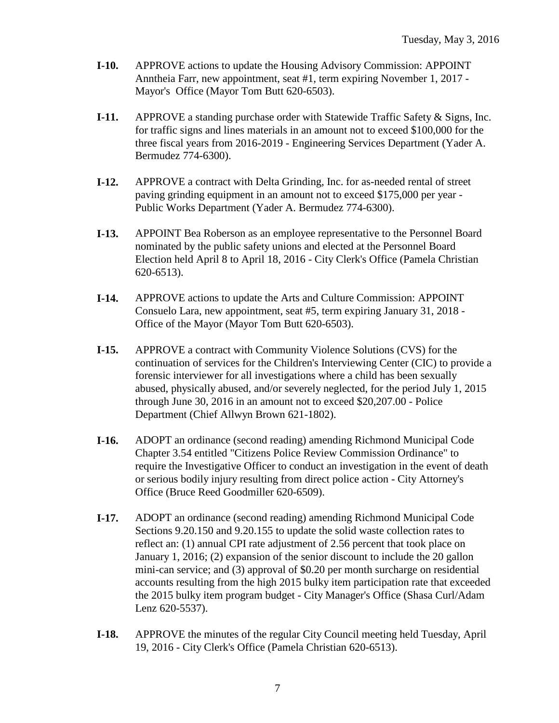- **I-10.** APPROVE actions to update the Housing Advisory Commission: APPOINT Anntheia Farr, new appointment, seat #1, term expiring November 1, 2017 - Mayor's Office (Mayor Tom Butt 620-6503).
- **I-11.** APPROVE a standing purchase order with Statewide Traffic Safety & Signs, Inc. for traffic signs and lines materials in an amount not to exceed \$100,000 for the three fiscal years from 2016-2019 - Engineering Services Department (Yader A. Bermudez 774-6300).
- **I-12.** APPROVE a contract with Delta Grinding, Inc. for as-needed rental of street paving grinding equipment in an amount not to exceed \$175,000 per year - Public Works Department (Yader A. Bermudez 774-6300).
- **I-13.** APPOINT Bea Roberson as an employee representative to the Personnel Board nominated by the public safety unions and elected at the Personnel Board Election held April 8 to April 18, 2016 - City Clerk's Office (Pamela Christian 620-6513).
- **I-14.** APPROVE actions to update the Arts and Culture Commission: APPOINT Consuelo Lara, new appointment, seat #5, term expiring January 31, 2018 - Office of the Mayor (Mayor Tom Butt 620-6503).
- **I-15.** APPROVE a contract with Community Violence Solutions (CVS) for the continuation of services for the Children's Interviewing Center (CIC) to provide a forensic interviewer for all investigations where a child has been sexually abused, physically abused, and/or severely neglected, for the period July 1, 2015 through June 30, 2016 in an amount not to exceed \$20,207.00 - Police Department (Chief Allwyn Brown 621-1802).
- **I-16.** ADOPT an ordinance (second reading) amending Richmond Municipal Code Chapter 3.54 entitled "Citizens Police Review Commission Ordinance" to require the Investigative Officer to conduct an investigation in the event of death or serious bodily injury resulting from direct police action - City Attorney's Office (Bruce Reed Goodmiller 620-6509).
- **I-17.** ADOPT an ordinance (second reading) amending Richmond Municipal Code Sections 9.20.150 and 9.20.155 to update the solid waste collection rates to reflect an: (1) annual CPI rate adjustment of 2.56 percent that took place on January 1, 2016; (2) expansion of the senior discount to include the 20 gallon mini-can service; and (3) approval of \$0.20 per month surcharge on residential accounts resulting from the high 2015 bulky item participation rate that exceeded the 2015 bulky item program budget - City Manager's Office (Shasa Curl/Adam Lenz 620-5537).
- **I-18.** APPROVE the minutes of the regular City Council meeting held Tuesday, April 19, 2016 - City Clerk's Office (Pamela Christian 620-6513).